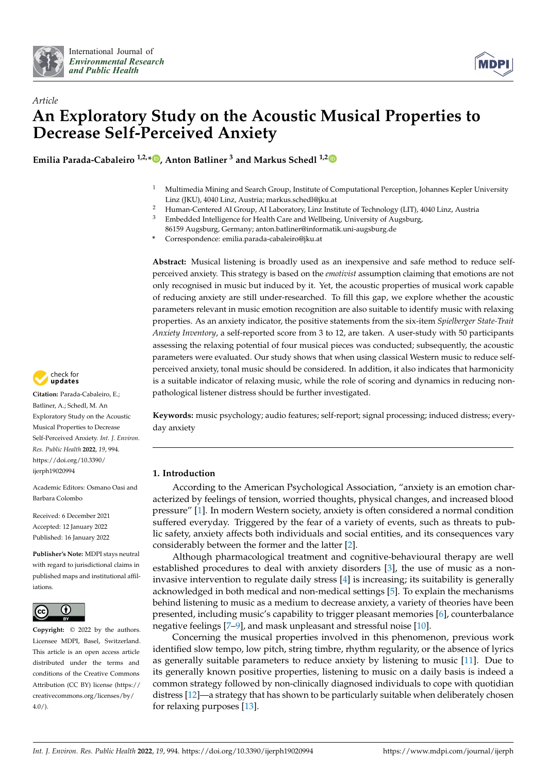



# *Article* **An Exploratory Study on the Acoustic Musical Properties to Decrease Self-Perceived Anxiety**

**Emilia Parada-Cabaleiro 1,2,\* [,](https://orcid.org/0000-0003-1843-3632) Anton Batliner <sup>3</sup> and Markus Schedl 1,[2](https://orcid.org/0000-0003-1706-3406)**

- <sup>1</sup> Multimedia Mining and Search Group, Institute of Computational Perception, Johannes Kepler University Linz (JKU), 4040 Linz, Austria; markus.schedl@jku.at
- <sup>2</sup> Human-Centered AI Group, AI Laboratory, Linz Institute of Technology (LIT), 4040 Linz, Austria<sup>3</sup>
- <sup>3</sup> Embedded Intelligence for Health Care and Wellbeing, University of Augsburg,

86159 Augsburg, Germany; anton.batliner@informatik.uni-augsburg.de **\*** Correspondence: emilia.parada-cabaleiro@jku.at

**Abstract:** Musical listening is broadly used as an inexpensive and safe method to reduce selfperceived anxiety. This strategy is based on the *emotivist* assumption claiming that emotions are not only recognised in music but induced by it. Yet, the acoustic properties of musical work capable of reducing anxiety are still under-researched. To fill this gap, we explore whether the acoustic parameters relevant in music emotion recognition are also suitable to identify music with relaxing properties. As an anxiety indicator, the positive statements from the six-item *Spielberger State-Trait Anxiety Inventory*, a self-reported score from 3 to 12, are taken. A user-study with 50 participants assessing the relaxing potential of four musical pieces was conducted; subsequently, the acoustic parameters were evaluated. Our study shows that when using classical Western music to reduce selfperceived anxiety, tonal music should be considered. In addition, it also indicates that harmonicity is a suitable indicator of relaxing music, while the role of scoring and dynamics in reducing nonpathological listener distress should be further investigated.

**Keywords:** music psychology; audio features; self-report; signal processing; induced distress; everyday anxiety

# **1. Introduction**

According to the American Psychological Association, "anxiety is an emotion characterized by feelings of tension, worried thoughts, physical changes, and increased blood pressure" [\[1\]](#page-14-0). In modern Western society, anxiety is often considered a normal condition suffered everyday. Triggered by the fear of a variety of events, such as threats to public safety, anxiety affects both individuals and social entities, and its consequences vary considerably between the former and the latter [\[2\]](#page-14-1).

Although pharmacological treatment and cognitive-behavioural therapy are well established procedures to deal with anxiety disorders [\[3\]](#page-14-2), the use of music as a noninvasive intervention to regulate daily stress [\[4\]](#page-14-3) is increasing; its suitability is generally acknowledged in both medical and non-medical settings [\[5\]](#page-14-4). To explain the mechanisms behind listening to music as a medium to decrease anxiety, a variety of theories have been presented, including music's capability to trigger pleasant memories [\[6\]](#page-14-5), counterbalance negative feelings [\[7–](#page-14-6)[9\]](#page-14-7), and mask unpleasant and stressful noise [\[10\]](#page-14-8).

Concerning the musical properties involved in this phenomenon, previous work identified slow tempo, low pitch, string timbre, rhythm regularity, or the absence of lyrics as generally suitable parameters to reduce anxiety by listening to music [\[11\]](#page-14-9). Due to its generally known positive properties, listening to music on a daily basis is indeed a common strategy followed by non-clinically diagnosed individuals to cope with quotidian distress [\[12\]](#page-14-10)—a strategy that has shown to be particularly suitable when deliberately chosen for relaxing purposes [\[13\]](#page-14-11).



**Citation:** Parada-Cabaleiro, E.; Batliner, A.; Schedl, M. An Exploratory Study on the Acoustic Musical Properties to Decrease Self-Perceived Anxiety. *Int. J. Environ. Res. Public Health* **2022**, *19*, 994. [https://doi.org/10.3390/](https://doi.org/10.3390/ijerph19020994) [ijerph19020994](https://doi.org/10.3390/ijerph19020994)

Academic Editors: Osmano Oasi and Barbara Colombo

Received: 6 December 2021 Accepted: 12 January 2022 Published: 16 January 2022

**Publisher's Note:** MDPI stays neutral with regard to jurisdictional claims in published maps and institutional affiliations.



**Copyright:** © 2022 by the authors. Licensee MDPI, Basel, Switzerland. This article is an open access article distributed under the terms and conditions of the Creative Commons Attribution (CC BY) license [\(https://](https://creativecommons.org/licenses/by/4.0/) [creativecommons.org/licenses/by/](https://creativecommons.org/licenses/by/4.0/)  $4.0/$ ).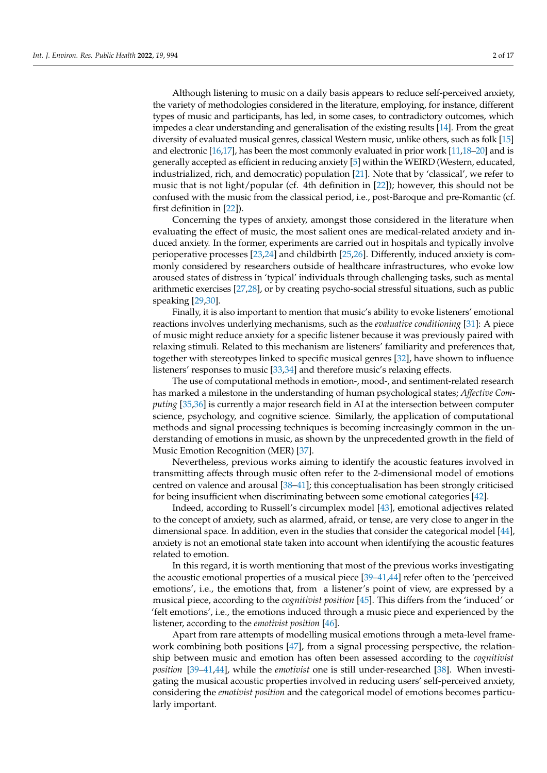Although listening to music on a daily basis appears to reduce self-perceived anxiety, the variety of methodologies considered in the literature, employing, for instance, different types of music and participants, has led, in some cases, to contradictory outcomes, which impedes a clear understanding and generalisation of the existing results [\[14\]](#page-14-12). From the great diversity of evaluated musical genres, classical Western music, unlike others, such as folk [\[15\]](#page-14-13) and electronic [\[16,](#page-14-14)[17\]](#page-14-15), has been the most commonly evaluated in prior work [\[11,](#page-14-9)[18](#page-14-16)[–20\]](#page-14-17) and is generally accepted as efficient in reducing anxiety [\[5\]](#page-14-4) within the WEIRD (Western, educated, industrialized, rich, and democratic) population [\[21\]](#page-14-18). Note that by 'classical', we refer to music that is not light/popular (cf. 4th definition in [\[22\]](#page-14-19)); however, this should not be confused with the music from the classical period, i.e., post-Baroque and pre-Romantic (cf. first definition in [\[22\]](#page-14-19)).

Concerning the types of anxiety, amongst those considered in the literature when evaluating the effect of music, the most salient ones are medical-related anxiety and induced anxiety. In the former, experiments are carried out in hospitals and typically involve perioperative processes [\[23,](#page-14-20)[24\]](#page-14-21) and childbirth [\[25,](#page-14-22)[26\]](#page-14-23). Differently, induced anxiety is commonly considered by researchers outside of healthcare infrastructures, who evoke low aroused states of distress in 'typical' individuals through challenging tasks, such as mental arithmetic exercises [\[27](#page-14-24)[,28\]](#page-14-25), or by creating psycho-social stressful situations, such as public speaking [\[29](#page-15-0)[,30\]](#page-15-1).

Finally, it is also important to mention that music's ability to evoke listeners' emotional reactions involves underlying mechanisms, such as the *evaluative conditioning* [\[31\]](#page-15-2): A piece of music might reduce anxiety for a specific listener because it was previously paired with relaxing stimuli. Related to this mechanism are listeners' familiarity and preferences that, together with stereotypes linked to specific musical genres [\[32\]](#page-15-3), have shown to influence listeners' responses to music [\[33](#page-15-4)[,34\]](#page-15-5) and therefore music's relaxing effects.

The use of computational methods in emotion-, mood-, and sentiment-related research has marked a milestone in the understanding of human psychological states; *Affective Computing* [\[35](#page-15-6)[,36\]](#page-15-7) is currently a major research field in AI at the intersection between computer science, psychology, and cognitive science. Similarly, the application of computational methods and signal processing techniques is becoming increasingly common in the understanding of emotions in music, as shown by the unprecedented growth in the field of Music Emotion Recognition (MER) [\[37\]](#page-15-8).

Nevertheless, previous works aiming to identify the acoustic features involved in transmitting affects through music often refer to the 2-dimensional model of emotions centred on valence and arousal [\[38](#page-15-9)[–41\]](#page-15-10); this conceptualisation has been strongly criticised for being insufficient when discriminating between some emotional categories [\[42\]](#page-15-11).

Indeed, according to Russell's circumplex model [\[43\]](#page-15-12), emotional adjectives related to the concept of anxiety, such as alarmed, afraid, or tense, are very close to anger in the dimensional space. In addition, even in the studies that consider the categorical model [\[44\]](#page-15-13), anxiety is not an emotional state taken into account when identifying the acoustic features related to emotion.

In this regard, it is worth mentioning that most of the previous works investigating the acoustic emotional properties of a musical piece [\[39](#page-15-14)[–41,](#page-15-10)[44\]](#page-15-13) refer often to the 'perceived emotions', i.e., the emotions that, from a listener's point of view, are expressed by a musical piece, according to the *cognitivist position* [\[45\]](#page-15-15). This differs from the 'induced' or 'felt emotions', i.e., the emotions induced through a music piece and experienced by the listener, according to the *emotivist position* [\[46\]](#page-15-16).

Apart from rare attempts of modelling musical emotions through a meta-level framework combining both positions [\[47\]](#page-15-17), from a signal processing perspective, the relationship between music and emotion has often been assessed according to the *cognitivist position* [\[39–](#page-15-14)[41,](#page-15-10)[44\]](#page-15-13), while the *emotivist* one is still under-researched [\[38\]](#page-15-9). When investigating the musical acoustic properties involved in reducing users' self-perceived anxiety, considering the *emotivist position* and the categorical model of emotions becomes particularly important.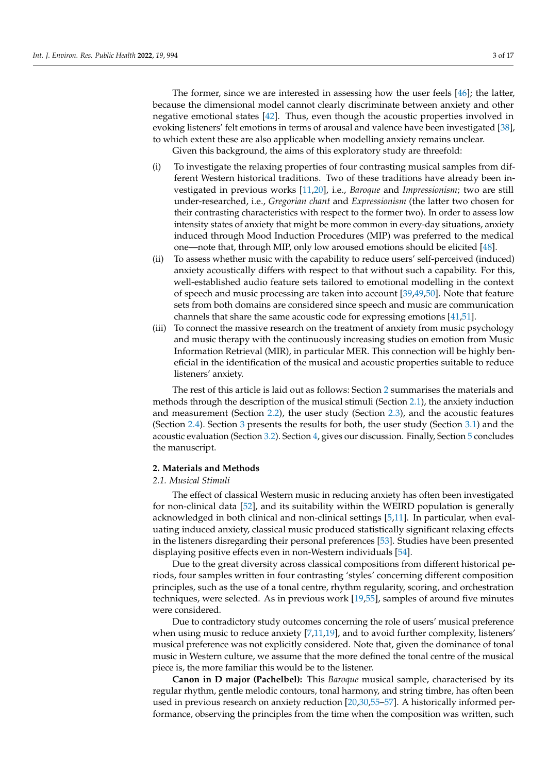The former, since we are interested in assessing how the user feels [\[46\]](#page-15-16); the latter, because the dimensional model cannot clearly discriminate between anxiety and other negative emotional states [\[42\]](#page-15-11). Thus, even though the acoustic properties involved in evoking listeners' felt emotions in terms of arousal and valence have been investigated [\[38\]](#page-15-9), to which extent these are also applicable when modelling anxiety remains unclear.

Given this background, the aims of this exploratory study are threefold:

- (i) To investigate the relaxing properties of four contrasting musical samples from different Western historical traditions. Two of these traditions have already been investigated in previous works [\[11](#page-14-9)[,20\]](#page-14-17), i.e., *Baroque* and *Impressionism*; two are still under-researched, i.e., *Gregorian chant* and *Expressionism* (the latter two chosen for their contrasting characteristics with respect to the former two). In order to assess low intensity states of anxiety that might be more common in every-day situations, anxiety induced through Mood Induction Procedures (MIP) was preferred to the medical one—note that, through MIP, only low aroused emotions should be elicited [\[48\]](#page-15-18).
- (ii) To assess whether music with the capability to reduce users' self-perceived (induced) anxiety acoustically differs with respect to that without such a capability. For this, well-established audio feature sets tailored to emotional modelling in the context of speech and music processing are taken into account [\[39,](#page-15-14)[49,](#page-15-19)[50\]](#page-15-20). Note that feature sets from both domains are considered since speech and music are communication channels that share the same acoustic code for expressing emotions [\[41,](#page-15-10)[51\]](#page-15-21).
- (iii) To connect the massive research on the treatment of anxiety from music psychology and music therapy with the continuously increasing studies on emotion from Music Information Retrieval (MIR), in particular MER. This connection will be highly beneficial in the identification of the musical and acoustic properties suitable to reduce listeners' anxiety.

The rest of this article is laid out as follows: Section [2](#page-2-0) summarises the materials and methods through the description of the musical stimuli (Section [2.1\)](#page-2-1), the anxiety induction and measurement (Section [2.2\)](#page-3-0), the user study (Section [2.3\)](#page-4-0), and the acoustic features (Section [2.4\)](#page-5-0). Section [3](#page-8-0) presents the results for both, the user study (Section [3.1\)](#page-8-1) and the acoustic evaluation (Section [3.2\)](#page-9-0). Section [4,](#page-11-0) gives our discussion. Finally, Section [5](#page-12-0) concludes the manuscript.

# <span id="page-2-0"></span>**2. Materials and Methods**

# <span id="page-2-1"></span>*2.1. Musical Stimuli*

The effect of classical Western music in reducing anxiety has often been investigated for non-clinical data [\[52\]](#page-15-22), and its suitability within the WEIRD population is generally acknowledged in both clinical and non-clinical settings [\[5,](#page-14-4)[11\]](#page-14-9). In particular, when evaluating induced anxiety, classical music produced statistically significant relaxing effects in the listeners disregarding their personal preferences [\[53\]](#page-15-23). Studies have been presented displaying positive effects even in non-Western individuals [\[54\]](#page-15-24).

Due to the great diversity across classical compositions from different historical periods, four samples written in four contrasting 'styles' concerning different composition principles, such as the use of a tonal centre, rhythm regularity, scoring, and orchestration techniques, were selected. As in previous work [\[19,](#page-14-26)[55\]](#page-15-25), samples of around five minutes were considered.

Due to contradictory study outcomes concerning the role of users' musical preference when using music to reduce anxiety [\[7](#page-14-6)[,11](#page-14-9)[,19\]](#page-14-26), and to avoid further complexity, listeners' musical preference was not explicitly considered. Note that, given the dominance of tonal music in Western culture, we assume that the more defined the tonal centre of the musical piece is, the more familiar this would be to the listener.

**Canon in D major (Pachelbel):** This *Baroque* musical sample, characterised by its regular rhythm, gentle melodic contours, tonal harmony, and string timbre, has often been used in previous research on anxiety reduction [\[20,](#page-14-17)[30,](#page-15-1)[55](#page-15-25)[–57\]](#page-15-26). A historically informed performance, observing the principles from the time when the composition was written, such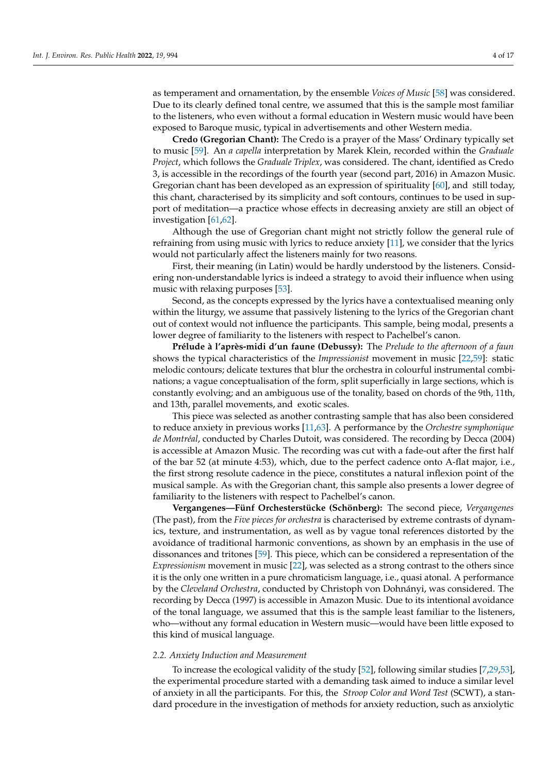as temperament and ornamentation, by the ensemble *Voices of Music* [\[58\]](#page-15-27) was considered. Due to its clearly defined tonal centre, we assumed that this is the sample most familiar to the listeners, who even without a formal education in Western music would have been exposed to Baroque music, typical in advertisements and other Western media.

**Credo (Gregorian Chant):** The Credo is a prayer of the Mass' Ordinary typically set to music [\[59\]](#page-16-0). An *a capella* interpretation by Marek Klein, recorded within the *Graduale Project*, which follows the *Graduale Triplex*, was considered. The chant, identified as Credo 3, is accessible in the recordings of the fourth year (second part, 2016) in Amazon Music. Gregorian chant has been developed as an expression of spirituality [\[60\]](#page-16-1), and still today, this chant, characterised by its simplicity and soft contours, continues to be used in support of meditation—a practice whose effects in decreasing anxiety are still an object of investigation [\[61,](#page-16-2)[62\]](#page-16-3).

Although the use of Gregorian chant might not strictly follow the general rule of refraining from using music with lyrics to reduce anxiety [\[11\]](#page-14-9), we consider that the lyrics would not particularly affect the listeners mainly for two reasons.

First, their meaning (in Latin) would be hardly understood by the listeners. Considering non-understandable lyrics is indeed a strategy to avoid their influence when using music with relaxing purposes [\[53\]](#page-15-23).

Second, as the concepts expressed by the lyrics have a contextualised meaning only within the liturgy, we assume that passively listening to the lyrics of the Gregorian chant out of context would not influence the participants. This sample, being modal, presents a lower degree of familiarity to the listeners with respect to Pachelbel's canon.

**Prélude à l'après-midi d'un faune (Debussy):** The *Prelude to the afternoon of a faun* shows the typical characteristics of the *Impressionist* movement in music [\[22,](#page-14-19)[59\]](#page-16-0): static melodic contours; delicate textures that blur the orchestra in colourful instrumental combinations; a vague conceptualisation of the form, split superficially in large sections, which is constantly evolving; and an ambiguous use of the tonality, based on chords of the 9th, 11th, and 13th, parallel movements, and exotic scales.

This piece was selected as another contrasting sample that has also been considered to reduce anxiety in previous works [\[11,](#page-14-9)[63\]](#page-16-4). A performance by the *Orchestre symphonique de Montréal*, conducted by Charles Dutoit, was considered. The recording by Decca (2004) is accessible at Amazon Music. The recording was cut with a fade-out after the first half of the bar 52 (at minute 4:53), which, due to the perfect cadence onto A-flat major, i.e., the first strong resolute cadence in the piece, constitutes a natural inflexion point of the musical sample. As with the Gregorian chant, this sample also presents a lower degree of familiarity to the listeners with respect to Pachelbel's canon.

**Vergangenes—Fünf Orchesterstücke (Schönberg):** The second piece, *Vergangenes* (The past), from the *Five pieces for orchestra* is characterised by extreme contrasts of dynamics, texture, and instrumentation, as well as by vague tonal references distorted by the avoidance of traditional harmonic conventions, as shown by an emphasis in the use of dissonances and tritones [\[59\]](#page-16-0). This piece, which can be considered a representation of the *Expressionism* movement in music [\[22\]](#page-14-19), was selected as a strong contrast to the others since it is the only one written in a pure chromaticism language, i.e., quasi atonal. A performance by the *Cleveland Orchestra*, conducted by Christoph von Dohnányi, was considered. The recording by Decca (1997) is accessible in Amazon Music. Due to its intentional avoidance of the tonal language, we assumed that this is the sample least familiar to the listeners, who—without any formal education in Western music—would have been little exposed to this kind of musical language.

#### <span id="page-3-0"></span>*2.2. Anxiety Induction and Measurement*

To increase the ecological validity of the study [\[52\]](#page-15-22), following similar studies [\[7](#page-14-6)[,29](#page-15-0)[,53\]](#page-15-23), the experimental procedure started with a demanding task aimed to induce a similar level of anxiety in all the participants. For this, the *Stroop Color and Word Test* (SCWT), a standard procedure in the investigation of methods for anxiety reduction, such as anxiolytic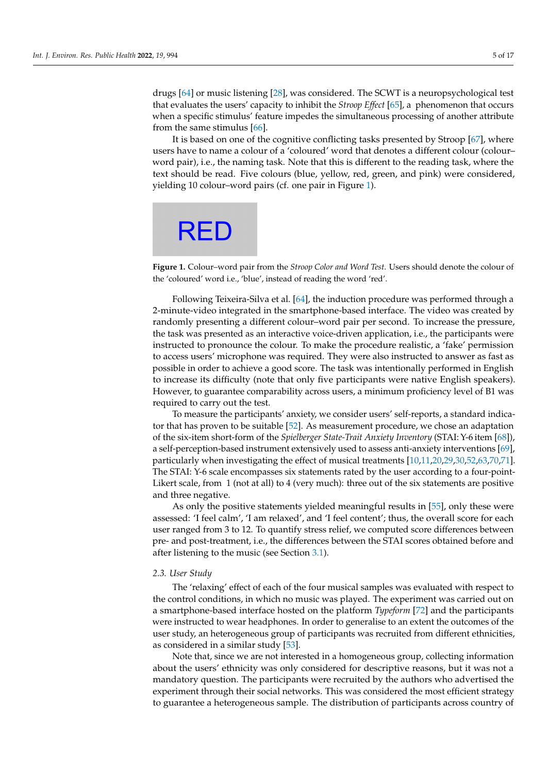drugs [\[64\]](#page-16-5) or music listening [\[28\]](#page-14-25), was considered. The SCWT is a neuropsychological test that evaluates the users' capacity to inhibit the *Stroop Effect* [\[65\]](#page-16-6), a phenomenon that occurs when a specific stimulus' feature impedes the simultaneous processing of another attribute from the same stimulus [\[66\]](#page-16-7).

It is based on one of the cognitive conflicting tasks presented by Stroop [\[67\]](#page-16-8), where users have to name a colour of a 'coloured' word that denotes a different colour (colour– word pair), i.e., the naming task. Note that this is different to the reading task, where the text should be read. Five colours (blue, yellow, red, green, and pink) were considered, yielding 10 colour–word pairs (cf. one pair in Figure [1\)](#page-4-1).

# <span id="page-4-1"></span>**RED**

**Figure 1.** Colour–word pair from the *Stroop Color and Word Test*. Users should denote the colour of the 'coloured' word i.e., 'blue', instead of reading the word 'red'.

Following Teixeira-Silva et al. [\[64\]](#page-16-5), the induction procedure was performed through a 2-minute-video integrated in the smartphone-based interface. The video was created by randomly presenting a different colour–word pair per second. To increase the pressure, the task was presented as an interactive voice-driven application, i.e., the participants were instructed to pronounce the colour. To make the procedure realistic, a 'fake' permission to access users' microphone was required. They were also instructed to answer as fast as possible in order to achieve a good score. The task was intentionally performed in English to increase its difficulty (note that only five participants were native English speakers). However, to guarantee comparability across users, a minimum proficiency level of B1 was required to carry out the test.

To measure the participants' anxiety, we consider users' self-reports, a standard indicator that has proven to be suitable [\[52\]](#page-15-22). As measurement procedure, we chose an adaptation of the six-item short-form of the *Spielberger State-Trait Anxiety Inventory* (STAI: Y-6 item [\[68\]](#page-16-9)), a self-perception-based instrument extensively used to assess anti-anxiety interventions [\[69\]](#page-16-10), particularly when investigating the effect of musical treatments [\[10](#page-14-8)[,11](#page-14-9)[,20](#page-14-17)[,29,](#page-15-0)[30,](#page-15-1)[52,](#page-15-22)[63](#page-16-4)[,70](#page-16-11)[,71\]](#page-16-12). The STAI: Y-6 scale encompasses six statements rated by the user according to a four-point-Likert scale, from 1 (not at all) to 4 (very much): three out of the six statements are positive and three negative.

As only the positive statements yielded meaningful results in [\[55\]](#page-15-25), only these were assessed: 'I feel calm', 'I am relaxed', and 'I feel content'; thus, the overall score for each user ranged from 3 to 12. To quantify stress relief, we computed score differences between pre- and post-treatment, i.e., the differences between the STAI scores obtained before and after listening to the music (see Section [3.1\)](#page-8-1).

#### <span id="page-4-0"></span>*2.3. User Study*

The 'relaxing' effect of each of the four musical samples was evaluated with respect to the control conditions, in which no music was played. The experiment was carried out on a smartphone-based interface hosted on the platform *Typeform* [\[72\]](#page-16-13) and the participants were instructed to wear headphones. In order to generalise to an extent the outcomes of the user study, an heterogeneous group of participants was recruited from different ethnicities, as considered in a similar study [\[53\]](#page-15-23).

Note that, since we are not interested in a homogeneous group, collecting information about the users' ethnicity was only considered for descriptive reasons, but it was not a mandatory question. The participants were recruited by the authors who advertised the experiment through their social networks. This was considered the most efficient strategy to guarantee a heterogeneous sample. The distribution of participants across country of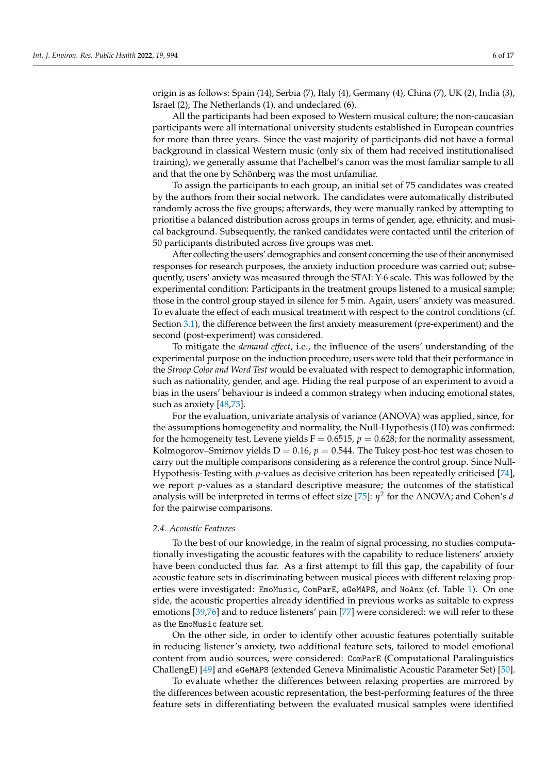origin is as follows: Spain (14), Serbia (7), Italy (4), Germany (4), China (7), UK (2), India (3), Israel (2), The Netherlands (1), and undeclared (6).

All the participants had been exposed to Western musical culture; the non-caucasian participants were all international university students established in European countries for more than three years. Since the vast majority of participants did not have a formal background in classical Western music (only six of them had received institutionalised training), we generally assume that Pachelbel's canon was the most familiar sample to all and that the one by Schönberg was the most unfamiliar.

To assign the participants to each group, an initial set of 75 candidates was created by the authors from their social network. The candidates were automatically distributed randomly across the five groups; afterwards, they were manually ranked by attempting to prioritise a balanced distribution across groups in terms of gender, age, ethnicity, and musical background. Subsequently, the ranked candidates were contacted until the criterion of 50 participants distributed across five groups was met.

After collecting the users' demographics and consent concerning the use of their anonymised responses for research purposes, the anxiety induction procedure was carried out; subsequently, users' anxiety was measured through the STAI: Y-6 scale. This was followed by the experimental condition: Participants in the treatment groups listened to a musical sample; those in the control group stayed in silence for 5 min. Again, users' anxiety was measured. To evaluate the effect of each musical treatment with respect to the control conditions (cf. Section [3.1\)](#page-8-1), the difference between the first anxiety measurement (pre-experiment) and the second (post-experiment) was considered.

To mitigate the *demand effect*, i.e., the influence of the users' understanding of the experimental purpose on the induction procedure, users were told that their performance in the *Stroop Color and Word Test* would be evaluated with respect to demographic information, such as nationality, gender, and age. Hiding the real purpose of an experiment to avoid a bias in the users' behaviour is indeed a common strategy when inducing emotional states, such as anxiety [\[48,](#page-15-18)[73\]](#page-16-14).

For the evaluation, univariate analysis of variance (ANOVA) was applied, since, for the assumptions homogenetity and normality, the Null-Hypothesis (H0) was confirmed: for the homogeneity test, Levene yields  $F = 0.6515$ ,  $p = 0.628$ ; for the normality assessment, Kolmogorov–Smirnov yields  $D = 0.16$ ,  $p = 0.544$ . The Tukey post-hoc test was chosen to carry out the multiple comparisons considering as a reference the control group. Since Null-Hypothesis-Testing with *p*-values as decisive criterion has been repeatedly criticised [\[74\]](#page-16-15), we report *p*-values as a standard descriptive measure; the outcomes of the statistical analysis will be interpreted in terms of effect size [\[75\]](#page-16-16): *η* 2 for the ANOVA; and Cohen's *d* for the pairwise comparisons.

#### <span id="page-5-0"></span>*2.4. Acoustic Features*

To the best of our knowledge, in the realm of signal processing, no studies computationally investigating the acoustic features with the capability to reduce listeners' anxiety have been conducted thus far. As a first attempt to fill this gap, the capability of four acoustic feature sets in discriminating between musical pieces with different relaxing properties were investigated: EmoMusic, ComParE, eGeMAPS, and NoAnx (cf. Table [1\)](#page-6-0). On one side, the acoustic properties already identified in previous works as suitable to express emotions [\[39,](#page-15-14)[76\]](#page-16-17) and to reduce listeners' pain [\[77\]](#page-16-18) were considered: we will refer to these as the EmoMusic feature set.

On the other side, in order to identify other acoustic features potentially suitable in reducing listener's anxiety, two additional feature sets, tailored to model emotional content from audio sources, were considered: ComParE (Computational Paralinguistics ChallengE) [\[49\]](#page-15-19) and eGeMAPS (extended Geneva Minimalistic Acoustic Parameter Set) [\[50\]](#page-15-20).

To evaluate whether the differences between relaxing properties are mirrored by the differences between acoustic representation, the best-performing features of the three feature sets in differentiating between the evaluated musical samples were identified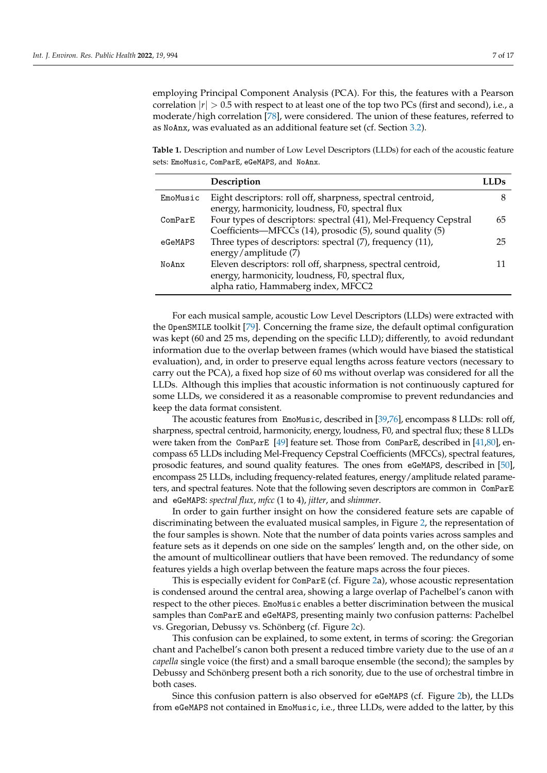employing Principal Component Analysis (PCA). For this, the features with a Pearson correlation  $|r| > 0.5$  with respect to at least one of the top two PCs (first and second), i.e., a moderate/high correlation [\[78\]](#page-16-19), were considered. The union of these features, referred to as NoAnx, was evaluated as an additional feature set (cf. Section [3.2\)](#page-9-0).

<span id="page-6-0"></span>**Table 1.** Description and number of Low Level Descriptors (LLDs) for each of the acoustic feature sets: EmoMusic, ComParE, eGeMAPS, and NoAnx.

|          | Description                                                                                                                                             |    |
|----------|---------------------------------------------------------------------------------------------------------------------------------------------------------|----|
| EmoMusic | Eight descriptors: roll off, sharpness, spectral centroid,<br>energy, harmonicity, loudness, F0, spectral flux                                          |    |
| ComParE  | Four types of descriptors: spectral (41), Mel-Frequency Cepstral<br>Coefficients—MFCCs (14), prosodic (5), sound quality (5)                            | 65 |
| eGeMAPS  | Three types of descriptors: spectral (7), frequency (11),<br>energy/amplitude (7)                                                                       | 25 |
| NoAnx    | Eleven descriptors: roll off, sharpness, spectral centroid,<br>energy, harmonicity, loudness, F0, spectral flux,<br>alpha ratio, Hammaberg index, MFCC2 |    |

For each musical sample, acoustic Low Level Descriptors (LLDs) were extracted with the OpenSMILE toolkit [\[79\]](#page-16-20). Concerning the frame size, the default optimal configuration was kept (60 and 25 ms, depending on the specific LLD); differently, to avoid redundant information due to the overlap between frames (which would have biased the statistical evaluation), and, in order to preserve equal lengths across feature vectors (necessary to carry out the PCA), a fixed hop size of 60 ms without overlap was considered for all the LLDs. Although this implies that acoustic information is not continuously captured for some LLDs, we considered it as a reasonable compromise to prevent redundancies and keep the data format consistent.

The acoustic features from EmoMusic, described in [\[39](#page-15-14)[,76\]](#page-16-17), encompass 8 LLDs: roll off, sharpness, spectral centroid, harmonicity, energy, loudness, F0, and spectral flux; these 8 LLDs were taken from the ComParE [\[49\]](#page-15-19) feature set. Those from ComParE, described in [\[41](#page-15-10)[,80\]](#page-16-21), encompass 65 LLDs including Mel-Frequency Cepstral Coefficients (MFCCs), spectral features, prosodic features, and sound quality features. The ones from eGeMAPS, described in [\[50\]](#page-15-20), encompass 25 LLDs, including frequency-related features, energy/amplitude related parameters, and spectral features. Note that the following seven descriptors are common in ComParE and eGeMAPS: *spectral flux*, *mfcc* (1 to 4), *jitter*, and *shimmer*.

In order to gain further insight on how the considered feature sets are capable of discriminating between the evaluated musical samples, in Figure [2,](#page-7-0) the representation of the four samples is shown. Note that the number of data points varies across samples and feature sets as it depends on one side on the samples' length and, on the other side, on the amount of multicollinear outliers that have been removed. The redundancy of some features yields a high overlap between the feature maps across the four pieces.

This is especially evident for ComParE (cf. Figure [2a](#page-7-0)), whose acoustic representation is condensed around the central area, showing a large overlap of Pachelbel's canon with respect to the other pieces. EmoMusic enables a better discrimination between the musical samples than ComParE and eGeMAPS, presenting mainly two confusion patterns: Pachelbel vs. Gregorian, Debussy vs. Schönberg (cf. Figure [2c](#page-7-0)).

This confusion can be explained, to some extent, in terms of scoring: the Gregorian chant and Pachelbel's canon both present a reduced timbre variety due to the use of an *a capella* single voice (the first) and a small baroque ensemble (the second); the samples by Debussy and Schönberg present both a rich sonority, due to the use of orchestral timbre in both cases.

Since this confusion pattern is also observed for eGeMAPS (cf. Figure [2b](#page-7-0)), the LLDs from eGeMAPS not contained in EmoMusic, i.e., three LLDs, were added to the latter, by this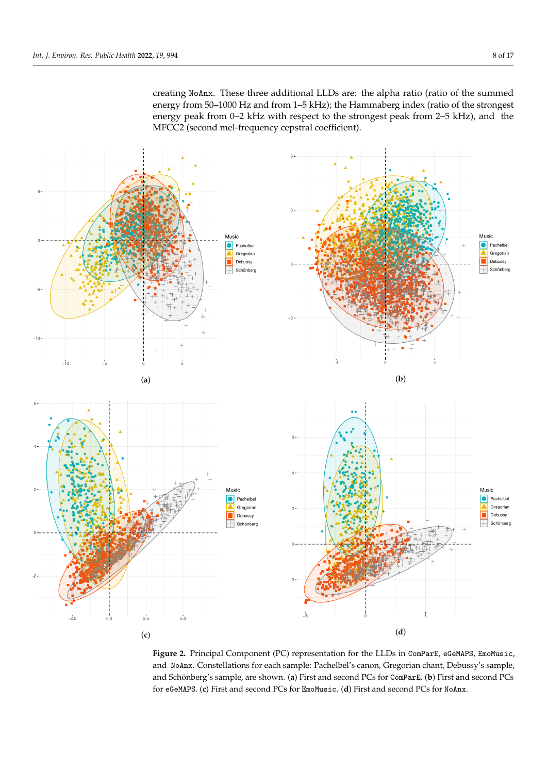<span id="page-7-0"></span>creating NoAnx. These three additional LLDs are: the alpha ratio (ratio of the summed energy from 50–1000 Hz and from 1–5 kHz); the Hammaberg index (ratio of the strongest energy peak from 0–2 kHz with respect to the strongest peak from 2–5 kHz), and the MFCC2 (second mel-frequency cepstral coefficient).



**Figure 2.** Principal Component (PC) representation for the LLDs in ComParE, eGeMAPS, EmoMusic, and NoAnx. Constellations for each sample: Pachelbel's canon, Gregorian chant, Debussy's sample, and Schönberg's sample, are shown. (**a**) First and second PCs for ComParE. (**b**) First and second PCs for eGeMAPS. (**c**) First and second PCs for EmoMusic. (**d**) First and second PCs for NoAnx.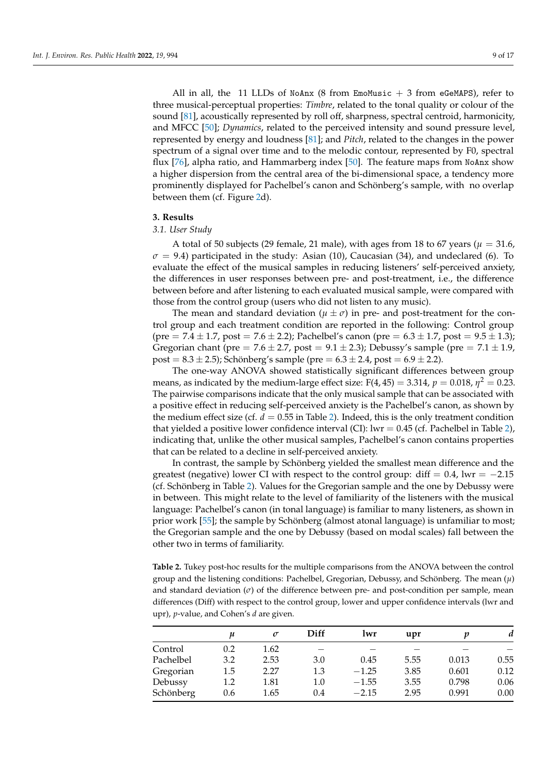All in all, the 11 LLDs of NoAnx (8 from EmoMusic  $+3$  from eGeMAPS), refer to three musical-perceptual properties: *Timbre*, related to the tonal quality or colour of the sound [\[81\]](#page-16-22), acoustically represented by roll off, sharpness, spectral centroid, harmonicity, and MFCC [\[50\]](#page-15-20); *Dynamics*, related to the perceived intensity and sound pressure level, represented by energy and loudness [\[81\]](#page-16-22); and *Pitch*, related to the changes in the power spectrum of a signal over time and to the melodic contour, represented by F0, spectral flux [\[76\]](#page-16-17), alpha ratio, and Hammarberg index [\[50\]](#page-15-20). The feature maps from NoAnx show a higher dispersion from the central area of the bi-dimensional space, a tendency more prominently displayed for Pachelbel's canon and Schönberg's sample, with no overlap between them (cf. Figure [2d](#page-7-0)).

## <span id="page-8-0"></span>**3. Results**

### <span id="page-8-1"></span>*3.1. User Study*

A total of 50 subjects (29 female, 21 male), with ages from 18 to 67 years ( $\mu = 31.6$ ,  $\sigma$  = 9.4) participated in the study: Asian (10), Caucasian (34), and undeclared (6). To evaluate the effect of the musical samples in reducing listeners' self-perceived anxiety, the differences in user responses between pre- and post-treatment, i.e., the difference between before and after listening to each evaluated musical sample, were compared with those from the control group (users who did not listen to any music).

The mean and standard deviation ( $\mu \pm \sigma$ ) in pre- and post-treatment for the control group and each treatment condition are reported in the following: Control group (pre  $= 7.4 \pm 1.7$ , post  $= 7.6 \pm 2.2$ ); Pachelbel's canon (pre  $= 6.3 \pm 1.7$ , post  $= 9.5 \pm 1.3$ ); Gregorian chant (pre =  $7.6 \pm 2.7$ , post =  $9.1 \pm 2.3$ ); Debussy's sample (pre =  $7.1 \pm 1.9$ , post =  $8.3 \pm 2.5$ ); Schönberg's sample (pre =  $6.3 \pm 2.4$ , post =  $6.9 \pm 2.2$ ).

The one-way ANOVA showed statistically significant differences between group means, as indicated by the medium-large effect size: F(4, 45)  $=$  3.314,  $p=$  0.018,  $\eta^2=$  0.23. The pairwise comparisons indicate that the only musical sample that can be associated with a positive effect in reducing self-perceived anxiety is the Pachelbel's canon, as shown by the medium effect size (cf.  $d = 0.55$  in Table [2\)](#page-8-2). Indeed, this is the only treatment condition that yielded a positive lower confidence interval (CI): lwr =  $0.45$  (cf. Pachelbel in Table [2\)](#page-8-2), indicating that, unlike the other musical samples, Pachelbel's canon contains properties that can be related to a decline in self-perceived anxiety.

In contrast, the sample by Schönberg yielded the smallest mean difference and the greatest (negative) lower CI with respect to the control group: diff =  $0.4$ , lwr =  $-2.15$ (cf. Schönberg in Table [2\)](#page-8-2). Values for the Gregorian sample and the one by Debussy were in between. This might relate to the level of familiarity of the listeners with the musical language: Pachelbel's canon (in tonal language) is familiar to many listeners, as shown in prior work [\[55\]](#page-15-25); the sample by Schönberg (almost atonal language) is unfamiliar to most; the Gregorian sample and the one by Debussy (based on modal scales) fall between the other two in terms of familiarity.

<span id="page-8-2"></span>**Table 2.** Tukey post-hoc results for the multiple comparisons from the ANOVA between the control group and the listening conditions: Pachelbel, Gregorian, Debussy, and Schönberg. The mean (*µ*) and standard deviation (*σ*) of the difference between pre- and post-condition per sample, mean differences (Diff) with respect to the control group, lower and upper confidence intervals (lwr and upr), *p*-value, and Cohen's *d* are given.

|           | $\boldsymbol{\mu}$ | $\sigma$ | Diff | lwr     | upr  |       | d    |
|-----------|--------------------|----------|------|---------|------|-------|------|
| Control   | 0.2                | 1.62     |      |         |      |       |      |
| Pachelbel | 3.2                | 2.53     | 3.0  | 0.45    | 5.55 | 0.013 | 0.55 |
| Gregorian | 1.5                | 2.27     | 1.3  | $-1.25$ | 3.85 | 0.601 | 0.12 |
| Debussy   | 1.2                | 1.81     | 1.0  | $-1.55$ | 3.55 | 0.798 | 0.06 |
| Schönberg | 0.6                | 1.65     | 0.4  | $-2.15$ | 2.95 | 0.991 | 0.00 |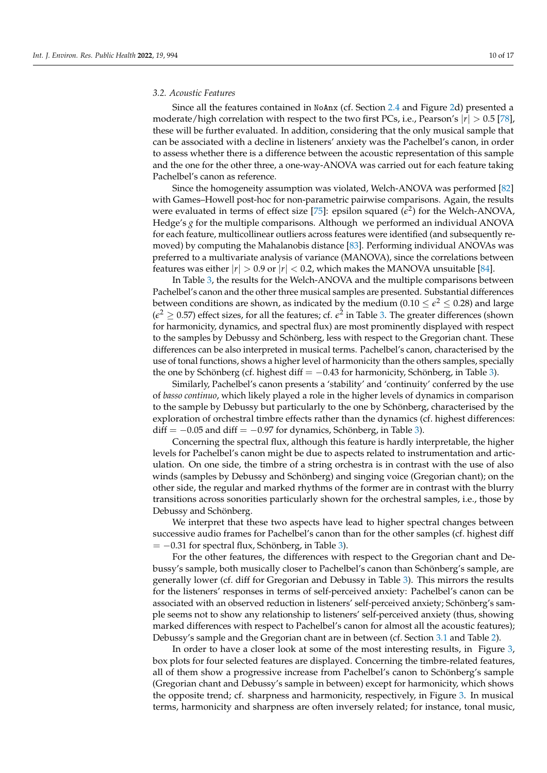#### <span id="page-9-0"></span>*3.2. Acoustic Features*

Since all the features contained in NoAnx (cf. Section [2.4](#page-5-0) and Figure [2d](#page-7-0)) presented a moderate/high correlation with respect to the two first PCs, i.e., Pearson's |*r*| > 0.5 [\[78\]](#page-16-19), these will be further evaluated. In addition, considering that the only musical sample that can be associated with a decline in listeners' anxiety was the Pachelbel's canon, in order to assess whether there is a difference between the acoustic representation of this sample and the one for the other three, a one-way-ANOVA was carried out for each feature taking Pachelbel's canon as reference.

Since the homogeneity assumption was violated, Welch-ANOVA was performed [\[82\]](#page-16-23) with Games–Howell post-hoc for non-parametric pairwise comparisons. Again, the results were evaluated in terms of effect size [\[75\]](#page-16-16): epsilon squared  $(\epsilon^2)$  for the Welch-ANOVA, Hedge's *g* for the multiple comparisons. Although we performed an individual ANOVA for each feature, multicollinear outliers across features were identified (and subsequently removed) by computing the Mahalanobis distance [\[83\]](#page-16-24). Performing individual ANOVAs was preferred to a multivariate analysis of variance (MANOVA), since the correlations between features was either  $|r| > 0.9$  or  $|r| < 0.2$ , which makes the MANOVA unsuitable [\[84\]](#page-16-25).

In Table [3,](#page-10-0) the results for the Welch-ANOVA and the multiple comparisons between Pachelbel's canon and the other three musical samples are presented. Substantial differences between conditions are shown, as indicated by the medium ( $0.10 \leq \epsilon^2 \leq 0.28$ ) and large  $(\epsilon^2 \ge 0.57)$  effect sizes, for all the features; cf.  $\epsilon^2$  in Table [3.](#page-10-0) The greater differences (shown for harmonicity, dynamics, and spectral flux) are most prominently displayed with respect to the samples by Debussy and Schönberg, less with respect to the Gregorian chant. These differences can be also interpreted in musical terms. Pachelbel's canon, characterised by the use of tonal functions, shows a higher level of harmonicity than the others samples, specially the one by Schönberg (cf. highest diff  $= -0.43$  for harmonicity, Schönberg, in Table [3\)](#page-10-0).

Similarly, Pachelbel's canon presents a 'stability' and 'continuity' conferred by the use of *basso continuo*, which likely played a role in the higher levels of dynamics in comparison to the sample by Debussy but particularly to the one by Schönberg, characterised by the exploration of orchestral timbre effects rather than the dynamics (cf. highest differences:  $diff = -0.05$  and diff =  $-0.97$  for dynamics, Schönberg, in Table [3\)](#page-10-0).

Concerning the spectral flux, although this feature is hardly interpretable, the higher levels for Pachelbel's canon might be due to aspects related to instrumentation and articulation. On one side, the timbre of a string orchestra is in contrast with the use of also winds (samples by Debussy and Schönberg) and singing voice (Gregorian chant); on the other side, the regular and marked rhythms of the former are in contrast with the blurry transitions across sonorities particularly shown for the orchestral samples, i.e., those by Debussy and Schönberg.

We interpret that these two aspects have lead to higher spectral changes between successive audio frames for Pachelbel's canon than for the other samples (cf. highest diff  $= -0.31$  for spectral flux, Schönberg, in Table [3\)](#page-10-0).

For the other features, the differences with respect to the Gregorian chant and Debussy's sample, both musically closer to Pachelbel's canon than Schönberg's sample, are generally lower (cf. diff for Gregorian and Debussy in Table [3\)](#page-10-0). This mirrors the results for the listeners' responses in terms of self-perceived anxiety: Pachelbel's canon can be associated with an observed reduction in listeners' self-perceived anxiety; Schönberg's sample seems not to show any relationship to listeners' self-perceived anxiety (thus, showing marked differences with respect to Pachelbel's canon for almost all the acoustic features); Debussy's sample and the Gregorian chant are in between (cf. Section [3.1](#page-8-1) and Table [2\)](#page-8-2).

In order to have a closer look at some of the most interesting results, in Figure [3,](#page-11-1) box plots for four selected features are displayed. Concerning the timbre-related features, all of them show a progressive increase from Pachelbel's canon to Schönberg's sample (Gregorian chant and Debussy's sample in between) except for harmonicity, which shows the opposite trend; cf. sharpness and harmonicity, respectively, in Figure [3.](#page-11-1) In musical terms, harmonicity and sharpness are often inversely related; for instance, tonal music,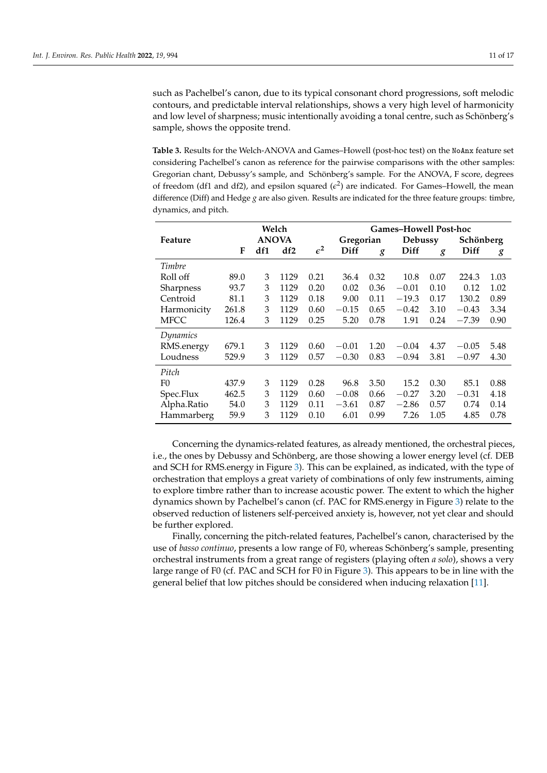such as Pachelbel's canon, due to its typical consonant chord progressions, soft melodic contours, and predictable interval relationships, shows a very high level of harmonicity and low level of sharpness; music intentionally avoiding a tonal centre, such as Schönberg's sample, shows the opposite trend.

<span id="page-10-0"></span>**Table 3.** Results for the Welch-ANOVA and Games–Howell (post-hoc test) on the NoAnx feature set considering Pachelbel's canon as reference for the pairwise comparisons with the other samples: Gregorian chant, Debussy's sample, and Schönberg's sample. For the ANOVA, F score, degrees of freedom (df1 and df2), and epsilon squared  $(\epsilon^2)$  are indicated. For Games–Howell, the mean difference (Diff) and Hedge *g* are also given. Results are indicated for the three feature groups: timbre, dynamics, and pitch.

|                | Welch        |     |      |                 | <b>Games-Howell Post-hoc</b> |         |         |           |         |      |
|----------------|--------------|-----|------|-----------------|------------------------------|---------|---------|-----------|---------|------|
| Feature        | <b>ANOVA</b> |     |      | Gregorian       |                              | Debussy |         | Schönberg |         |      |
|                | F            | df1 | df2  | $\varepsilon^2$ | Diff                         | g       | Diff    | g         | Diff    | g    |
| Timbre         |              |     |      |                 |                              |         |         |           |         |      |
| Roll off       | 89.0         | 3   | 1129 | 0.21            | 36.4                         | 0.32    | 10.8    | 0.07      | 224.3   | 1.03 |
| Sharpness      | 93.7         | 3   | 1129 | 0.20            | 0.02                         | 0.36    | $-0.01$ | 0.10      | 0.12    | 1.02 |
| Centroid       | 81.1         | 3   | 1129 | 0.18            | 9.00                         | 0.11    | $-19.3$ | 0.17      | 130.2   | 0.89 |
| Harmonicity    | 261.8        | 3   | 1129 | 0.60            | $-0.15$                      | 0.65    | $-0.42$ | 3.10      | $-0.43$ | 3.34 |
| <b>MFCC</b>    | 126.4        | 3   | 1129 | 0.25            | 5.20                         | 0.78    | 1.91    | 0.24      | $-7.39$ | 0.90 |
| Dynamics       |              |     |      |                 |                              |         |         |           |         |      |
| RMS.energy     | 679.1        | 3   | 1129 | 0.60            | $-0.01$                      | 1.20    | $-0.04$ | 4.37      | $-0.05$ | 5.48 |
| Loudness       | 529.9        | 3   | 1129 | 0.57            | $-0.30$                      | 0.83    | $-0.94$ | 3.81      | $-0.97$ | 4.30 |
| Pitch          |              |     |      |                 |                              |         |         |           |         |      |
| F <sub>0</sub> | 437.9        | 3   | 1129 | 0.28            | 96.8                         | 3.50    | 15.2    | 0.30      | 85.1    | 0.88 |
| Spec.Flux      | 462.5        | 3   | 1129 | 0.60            | $-0.08$                      | 0.66    | $-0.27$ | 3.20      | $-0.31$ | 4.18 |
| Alpha.Ratio    | 54.0         | 3   | 1129 | 0.11            | $-3.61$                      | 0.87    | $-2.86$ | 0.57      | 0.74    | 0.14 |
| Hammarberg     | 59.9         | 3   | 1129 | 0.10            | 6.01                         | 0.99    | 7.26    | 1.05      | 4.85    | 0.78 |

Concerning the dynamics-related features, as already mentioned, the orchestral pieces, i.e., the ones by Debussy and Schönberg, are those showing a lower energy level (cf. DEB and SCH for RMS.energy in Figure [3\)](#page-11-1). This can be explained, as indicated, with the type of orchestration that employs a great variety of combinations of only few instruments, aiming to explore timbre rather than to increase acoustic power. The extent to which the higher dynamics shown by Pachelbel's canon (cf. PAC for RMS.energy in Figure [3\)](#page-11-1) relate to the observed reduction of listeners self-perceived anxiety is, however, not yet clear and should be further explored.

Finally, concerning the pitch-related features, Pachelbel's canon, characterised by the use of *basso continuo*, presents a low range of F0, whereas Schönberg's sample, presenting orchestral instruments from a great range of registers (playing often *a solo*), shows a very large range of F0 (cf. PAC and SCH for F0 in Figure [3\)](#page-11-1). This appears to be in line with the general belief that low pitches should be considered when inducing relaxation [\[11\]](#page-14-9).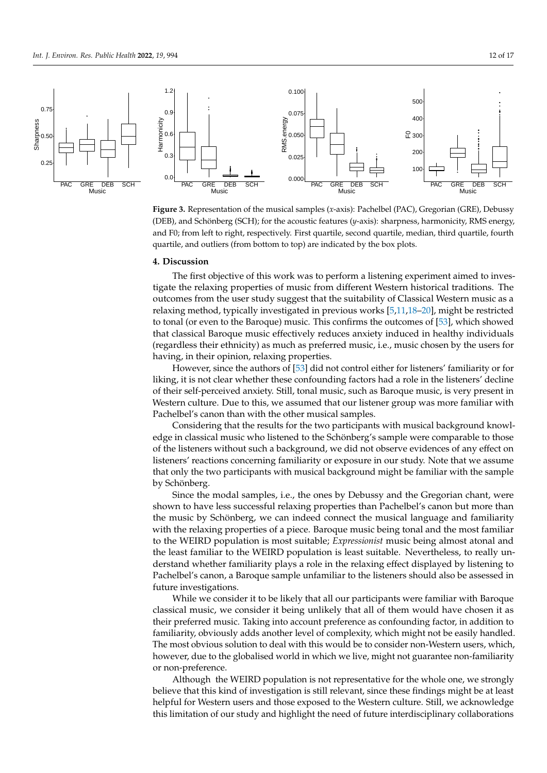

<span id="page-11-1"></span>**Figure 3.** Representation of the musical samples (*x*-axis): Pachelbel (PAC), Gregorian (GRE), Debussy (DEB), and Schönberg (SCH); for the acoustic features (*y*-axis): sharpness, harmonicity, RMS energy, and F0; from left to right, respectively. First quartile, second quartile, median, third quartile, fourth quartile, and outliers (from bottom to top) are indicated by the box plots.

#### <span id="page-11-0"></span>**4. Discussion**

The first objective of this work was to perform a listening experiment aimed to investigate the relaxing properties of music from different Western historical traditions. The outcomes from the user study suggest that the suitability of Classical Western music as a relaxing method, typically investigated in previous works [\[5,](#page-14-4)[11,](#page-14-9)[18](#page-14-16)[–20\]](#page-14-17), might be restricted to tonal (or even to the Baroque) music. This confirms the outcomes of [\[53\]](#page-15-23), which showed that classical Baroque music effectively reduces anxiety induced in healthy individuals (regardless their ethnicity) as much as preferred music, i.e., music chosen by the users for having, in their opinion, relaxing properties.

However, since the authors of [\[53\]](#page-15-23) did not control either for listeners' familiarity or for liking, it is not clear whether these confounding factors had a role in the listeners' decline of their self-perceived anxiety. Still, tonal music, such as Baroque music, is very present in Western culture. Due to this, we assumed that our listener group was more familiar with Pachelbel's canon than with the other musical samples.

Considering that the results for the two participants with musical background knowledge in classical music who listened to the Schönberg's sample were comparable to those of the listeners without such a background, we did not observe evidences of any effect on listeners' reactions concerning familiarity or exposure in our study. Note that we assume that only the two participants with musical background might be familiar with the sample by Schönberg.

Since the modal samples, i.e., the ones by Debussy and the Gregorian chant, were shown to have less successful relaxing properties than Pachelbel's canon but more than the music by Schönberg, we can indeed connect the musical language and familiarity with the relaxing properties of a piece. Baroque music being tonal and the most familiar to the WEIRD population is most suitable; *Expressionist* music being almost atonal and the least familiar to the WEIRD population is least suitable. Nevertheless, to really understand whether familiarity plays a role in the relaxing effect displayed by listening to Pachelbel's canon, a Baroque sample unfamiliar to the listeners should also be assessed in future investigations.

While we consider it to be likely that all our participants were familiar with Baroque classical music, we consider it being unlikely that all of them would have chosen it as their preferred music. Taking into account preference as confounding factor, in addition to familiarity, obviously adds another level of complexity, which might not be easily handled. The most obvious solution to deal with this would be to consider non-Western users, which, however, due to the globalised world in which we live, might not guarantee non-familiarity or non-preference.

Although the WEIRD population is not representative for the whole one, we strongly believe that this kind of investigation is still relevant, since these findings might be at least helpful for Western users and those exposed to the Western culture. Still, we acknowledge this limitation of our study and highlight the need of future interdisciplinary collaborations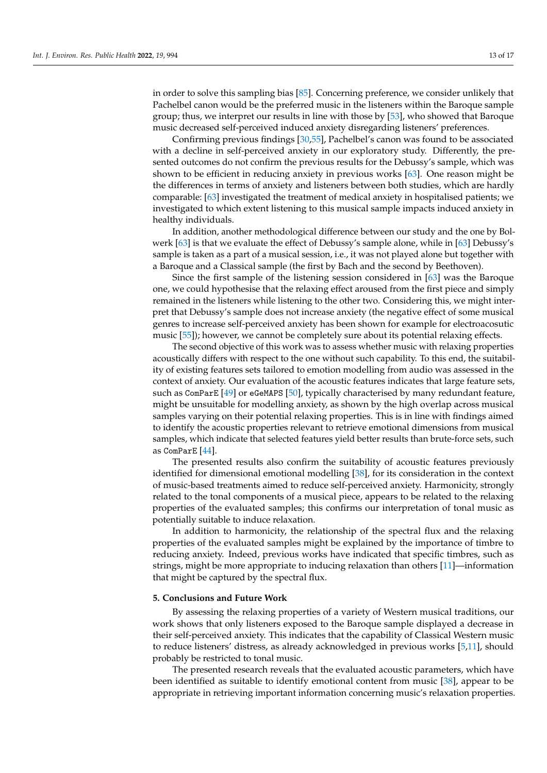in order to solve this sampling bias [\[85\]](#page-16-26). Concerning preference, we consider unlikely that Pachelbel canon would be the preferred music in the listeners within the Baroque sample group; thus, we interpret our results in line with those by [\[53\]](#page-15-23), who showed that Baroque music decreased self-perceived induced anxiety disregarding listeners' preferences.

Confirming previous findings [\[30](#page-15-1)[,55\]](#page-15-25), Pachelbel's canon was found to be associated with a decline in self-perceived anxiety in our exploratory study. Differently, the presented outcomes do not confirm the previous results for the Debussy's sample, which was shown to be efficient in reducing anxiety in previous works [\[63\]](#page-16-4). One reason might be the differences in terms of anxiety and listeners between both studies, which are hardly comparable: [\[63\]](#page-16-4) investigated the treatment of medical anxiety in hospitalised patients; we investigated to which extent listening to this musical sample impacts induced anxiety in healthy individuals.

In addition, another methodological difference between our study and the one by Bolwerk [\[63\]](#page-16-4) is that we evaluate the effect of Debussy's sample alone, while in [\[63\]](#page-16-4) Debussy's sample is taken as a part of a musical session, i.e., it was not played alone but together with a Baroque and a Classical sample (the first by Bach and the second by Beethoven).

Since the first sample of the listening session considered in [\[63\]](#page-16-4) was the Baroque one, we could hypothesise that the relaxing effect aroused from the first piece and simply remained in the listeners while listening to the other two. Considering this, we might interpret that Debussy's sample does not increase anxiety (the negative effect of some musical genres to increase self-perceived anxiety has been shown for example for electroacosutic music [\[55\]](#page-15-25)); however, we cannot be completely sure about its potential relaxing effects.

The second objective of this work was to assess whether music with relaxing properties acoustically differs with respect to the one without such capability. To this end, the suitability of existing features sets tailored to emotion modelling from audio was assessed in the context of anxiety. Our evaluation of the acoustic features indicates that large feature sets, such as ComParE [\[49\]](#page-15-19) or eGeMAPS [\[50\]](#page-15-20), typically characterised by many redundant feature, might be unsuitable for modelling anxiety, as shown by the high overlap across musical samples varying on their potential relaxing properties. This is in line with findings aimed to identify the acoustic properties relevant to retrieve emotional dimensions from musical samples, which indicate that selected features yield better results than brute-force sets, such as ComParE [\[44\]](#page-15-13).

The presented results also confirm the suitability of acoustic features previously identified for dimensional emotional modelling [\[38\]](#page-15-9), for its consideration in the context of music-based treatments aimed to reduce self-perceived anxiety. Harmonicity, strongly related to the tonal components of a musical piece, appears to be related to the relaxing properties of the evaluated samples; this confirms our interpretation of tonal music as potentially suitable to induce relaxation.

In addition to harmonicity, the relationship of the spectral flux and the relaxing properties of the evaluated samples might be explained by the importance of timbre to reducing anxiety. Indeed, previous works have indicated that specific timbres, such as strings, might be more appropriate to inducing relaxation than others [\[11\]](#page-14-9)—information that might be captured by the spectral flux.

#### <span id="page-12-0"></span>**5. Conclusions and Future Work**

By assessing the relaxing properties of a variety of Western musical traditions, our work shows that only listeners exposed to the Baroque sample displayed a decrease in their self-perceived anxiety. This indicates that the capability of Classical Western music to reduce listeners' distress, as already acknowledged in previous works [\[5,](#page-14-4)[11\]](#page-14-9), should probably be restricted to tonal music.

The presented research reveals that the evaluated acoustic parameters, which have been identified as suitable to identify emotional content from music [\[38\]](#page-15-9), appear to be appropriate in retrieving important information concerning music's relaxation properties.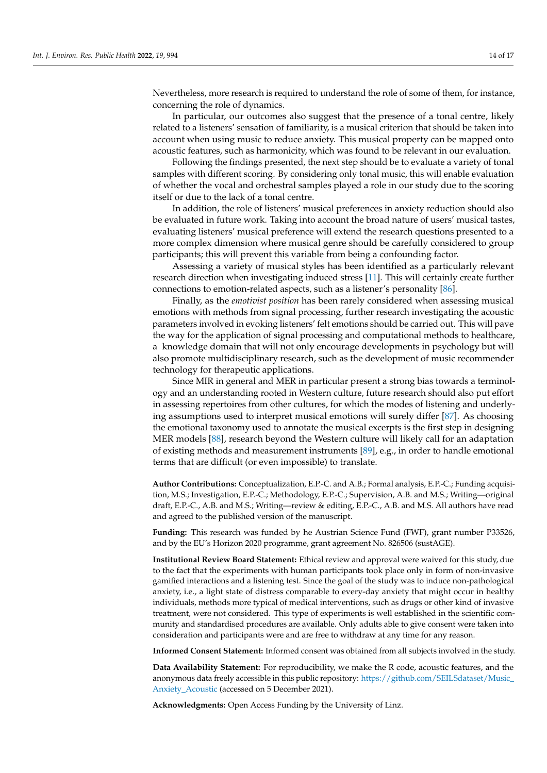Nevertheless, more research is required to understand the role of some of them, for instance, concerning the role of dynamics.

In particular, our outcomes also suggest that the presence of a tonal centre, likely related to a listeners' sensation of familiarity, is a musical criterion that should be taken into account when using music to reduce anxiety. This musical property can be mapped onto acoustic features, such as harmonicity, which was found to be relevant in our evaluation.

Following the findings presented, the next step should be to evaluate a variety of tonal samples with different scoring. By considering only tonal music, this will enable evaluation of whether the vocal and orchestral samples played a role in our study due to the scoring itself or due to the lack of a tonal centre.

In addition, the role of listeners' musical preferences in anxiety reduction should also be evaluated in future work. Taking into account the broad nature of users' musical tastes, evaluating listeners' musical preference will extend the research questions presented to a more complex dimension where musical genre should be carefully considered to group participants; this will prevent this variable from being a confounding factor.

Assessing a variety of musical styles has been identified as a particularly relevant research direction when investigating induced stress [\[11\]](#page-14-9). This will certainly create further connections to emotion-related aspects, such as a listener's personality [\[86\]](#page-16-27).

Finally, as the *emotivist position* has been rarely considered when assessing musical emotions with methods from signal processing, further research investigating the acoustic parameters involved in evoking listeners' felt emotions should be carried out. This will pave the way for the application of signal processing and computational methods to healthcare, a knowledge domain that will not only encourage developments in psychology but will also promote multidisciplinary research, such as the development of music recommender technology for therapeutic applications.

Since MIR in general and MER in particular present a strong bias towards a terminology and an understanding rooted in Western culture, future research should also put effort in assessing repertoires from other cultures, for which the modes of listening and underlying assumptions used to interpret musical emotions will surely differ [\[87\]](#page-16-28). As choosing the emotional taxonomy used to annotate the musical excerpts is the first step in designing MER models [\[88\]](#page-16-29), research beyond the Western culture will likely call for an adaptation of existing methods and measurement instruments [\[89\]](#page-16-30), e.g., in order to handle emotional terms that are difficult (or even impossible) to translate.

**Author Contributions:** Conceptualization, E.P.-C. and A.B.; Formal analysis, E.P.-C.; Funding acquisition, M.S.; Investigation, E.P.-C.; Methodology, E.P.-C.; Supervision, A.B. and M.S.; Writing—original draft, E.P.-C., A.B. and M.S.; Writing—review & editing, E.P.-C., A.B. and M.S. All authors have read and agreed to the published version of the manuscript.

**Funding:** This research was funded by he Austrian Science Fund (FWF), grant number P33526, and by the EU's Horizon 2020 programme, grant agreement No. 826506 (sustAGE).

**Institutional Review Board Statement:** Ethical review and approval were waived for this study, due to the fact that the experiments with human participants took place only in form of non-invasive gamified interactions and a listening test. Since the goal of the study was to induce non-pathological anxiety, i.e., a light state of distress comparable to every-day anxiety that might occur in healthy individuals, methods more typical of medical interventions, such as drugs or other kind of invasive treatment, were not considered. This type of experiments is well established in the scientific community and standardised procedures are available. Only adults able to give consent were taken into consideration and participants were and are free to withdraw at any time for any reason.

**Informed Consent Statement:** Informed consent was obtained from all subjects involved in the study.

**Data Availability Statement:** For reproducibility, we make the R code, acoustic features, and the anonymous data freely accessible in this public repository: [https://github.com/SEILSdataset/Music\\_](https://github.com/SEILSdataset/Music_Anxiety_Acoustic) [Anxiety\\_Acoustic](https://github.com/SEILSdataset/Music_Anxiety_Acoustic) (accessed on 5 December 2021).

**Acknowledgments:** Open Access Funding by the University of Linz.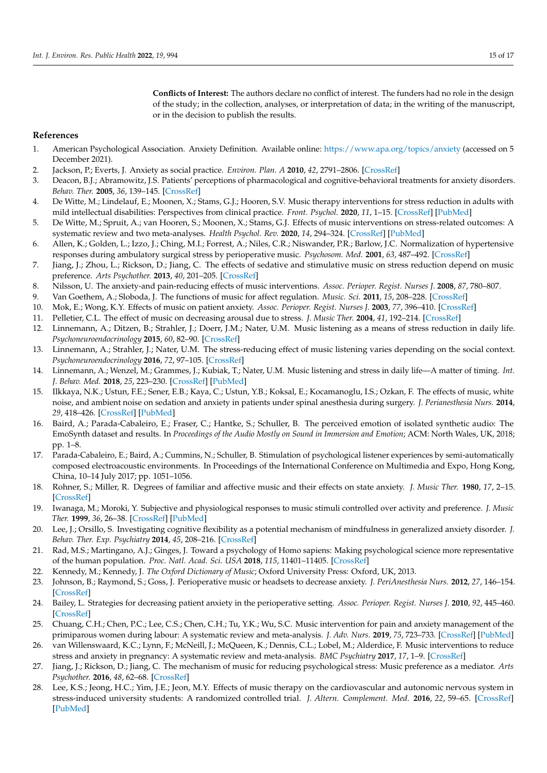**Conflicts of Interest:** The authors declare no conflict of interest. The funders had no role in the design of the study; in the collection, analyses, or interpretation of data; in the writing of the manuscript, or in the decision to publish the results.

# **References**

- <span id="page-14-0"></span>1. American Psychological Association. Anxiety Definition. Available online: <https://www.apa.org/topics/anxiety> (accessed on 5 December 2021).
- <span id="page-14-1"></span>2. Jackson, P.; Everts, J. Anxiety as social practice. *Environ. Plan. A* **2010**, *42*, 2791–2806. [\[CrossRef\]](http://doi.org/10.1068/a4385)
- <span id="page-14-2"></span>3. Deacon, B.J.; Abramowitz, J.S. Patients' perceptions of pharmacological and cognitive-behavioral treatments for anxiety disorders. *Behav. Ther.* **2005**, *36*, 139–145. [\[CrossRef\]](http://dx.doi.org/10.1016/S0005-7894(05)80062-0)
- <span id="page-14-3"></span>4. De Witte, M.; Lindelauf, E.; Moonen, X.; Stams, G.J.; Hooren, S.V. Music therapy interventions for stress reduction in adults with mild intellectual disabilities: Perspectives from clinical practice. *Front. Psychol.* **2020**, *11*, 1–15. [\[CrossRef\]](http://dx.doi.org/10.3389/fpsyg.2020.572549) [\[PubMed\]](http://www.ncbi.nlm.nih.gov/pubmed/33362637)
- <span id="page-14-4"></span>5. De Witte, M.; Spruit, A.; van Hooren, S.; Moonen, X.; Stams, G.J. Effects of music interventions on stress-related outcomes: A systematic review and two meta-analyses. *Health Psychol. Rev.* **2020**, *14*, 294–324. [\[CrossRef\]](http://dx.doi.org/10.1080/17437199.2019.1627897) [\[PubMed\]](http://www.ncbi.nlm.nih.gov/pubmed/31167611)
- <span id="page-14-5"></span>6. Allen, K.; Golden, L.; Izzo, J.; Ching, M.I.; Forrest, A.; Niles, C.R.; Niswander, P.R.; Barlow, J.C. Normalization of hypertensive responses during ambulatory surgical stress by perioperative music. *Psychosom. Med.* **2001**, *63*, 487–492. [\[CrossRef\]](http://dx.doi.org/10.1097/00006842-200105000-00019)
- <span id="page-14-6"></span>7. Jiang, J.; Zhou, L.; Rickson, D.; Jiang, C. The effects of sedative and stimulative music on stress reduction depend on music preference. *Arts Psychother.* **2013**, *40*, 201–205. [\[CrossRef\]](http://dx.doi.org/10.1016/j.aip.2013.02.002)
- 8. Nilsson, U. The anxiety-and pain-reducing effects of music interventions. *Assoc. Perioper. Regist. Nurses J.* **2008**, *87*, 780–807.
- <span id="page-14-7"></span>9. Van Goethem, A.; Sloboda, J. The functions of music for affect regulation. *Music. Sci.* **2011**, *15*, 208–228. [\[CrossRef\]](http://dx.doi.org/10.1177/1029864911401174)
- <span id="page-14-8"></span>10. Mok, E.; Wong, K.Y. Effects of music on patient anxiety. *Assoc. Perioper. Regist. Nurses J.* **2003**, *77*, 396–410. [\[CrossRef\]](http://dx.doi.org/10.1016/S0001-2092(06)61207-6)
- <span id="page-14-9"></span>11. Pelletier, C.L. The effect of music on decreasing arousal due to stress. *J. Music Ther.* **2004**, *41*, 192–214. [\[CrossRef\]](http://dx.doi.org/10.1093/jmt/41.3.192)
- <span id="page-14-10"></span>12. Linnemann, A.; Ditzen, B.; Strahler, J.; Doerr, J.M.; Nater, U.M. Music listening as a means of stress reduction in daily life. *Psychoneuroendocrinology* **2015**, *60*, 82–90. [\[CrossRef\]](http://dx.doi.org/10.1016/j.psyneuen.2015.06.008)
- <span id="page-14-11"></span>13. Linnemann, A.; Strahler, J.; Nater, U.M. The stress-reducing effect of music listening varies depending on the social context. *Psychoneuroendocrinology* **2016**, *72*, 97–105. [\[CrossRef\]](http://dx.doi.org/10.1016/j.psyneuen.2016.06.003)
- <span id="page-14-12"></span>14. Linnemann, A.; Wenzel, M.; Grammes, J.; Kubiak, T.; Nater, U.M. Music listening and stress in daily life—A matter of timing. *Int. J. Behav. Med.* **2018**, *25*, 223–230. [\[CrossRef\]](http://dx.doi.org/10.1007/s12529-017-9697-5) [\[PubMed\]](http://www.ncbi.nlm.nih.gov/pubmed/29164485)
- <span id="page-14-13"></span>15. Ilkkaya, N.K.; Ustun, F.E.; Sener, E.B.; Kaya, C.; Ustun, Y.B.; Koksal, E.; Kocamanoglu, I.S.; Ozkan, F. The effects of music, white noise, and ambient noise on sedation and anxiety in patients under spinal anesthesia during surgery. *J. Perianesthesia Nurs.* **2014**, *29*, 418–426. [\[CrossRef\]](http://dx.doi.org/10.1016/j.jopan.2014.05.008) [\[PubMed\]](http://www.ncbi.nlm.nih.gov/pubmed/25261145)
- <span id="page-14-14"></span>16. Baird, A.; Parada-Cabaleiro, E.; Fraser, C.; Hantke, S.; Schuller, B. The perceived emotion of isolated synthetic audio: The EmoSynth dataset and results. In *Proceedings of the Audio Mostly on Sound in Immersion and Emotion*; ACM: North Wales, UK, 2018; pp. 1–8.
- <span id="page-14-15"></span>17. Parada-Cabaleiro, E.; Baird, A.; Cummins, N.; Schuller, B. Stimulation of psychological listener experiences by semi-automatically composed electroacoustic environments. In Proceedings of the International Conference on Multimedia and Expo, Hong Kong, China, 10–14 July 2017; pp. 1051–1056.
- <span id="page-14-16"></span>18. Rohner, S.; Miller, R. Degrees of familiar and affective music and their effects on state anxiety. *J. Music Ther.* **1980**, *17*, 2–15. [\[CrossRef\]](http://dx.doi.org/10.1093/jmt/17.1.2)
- <span id="page-14-26"></span>19. Iwanaga, M.; Moroki, Y. Subjective and physiological responses to music stimuli controlled over activity and preference. *J. Music Ther.* **1999**, *36*, 26–38. [\[CrossRef\]](http://dx.doi.org/10.1093/jmt/36.1.26) [\[PubMed\]](http://www.ncbi.nlm.nih.gov/pubmed/10519843)
- <span id="page-14-17"></span>20. Lee, J.; Orsillo, S. Investigating cognitive flexibility as a potential mechanism of mindfulness in generalized anxiety disorder. *J. Behav. Ther. Exp. Psychiatry* **2014**, *45*, 208–216. [\[CrossRef\]](http://dx.doi.org/10.1016/j.jbtep.2013.10.008)
- <span id="page-14-18"></span>21. Rad, M.S.; Martingano, A.J.; Ginges, J. Toward a psychology of Homo sapiens: Making psychological science more representative of the human population. *Proc. Natl. Acad. Sci. USA* **2018**, *115*, 11401–11405. [\[CrossRef\]](http://dx.doi.org/10.1073/pnas.1721165115)
- <span id="page-14-19"></span>22. Kennedy, M.; Kennedy, J. *The Oxford Dictionary of Music*; Oxford University Press: Oxford, UK, 2013.
- <span id="page-14-20"></span>23. Johnson, B.; Raymond, S.; Goss, J. Perioperative music or headsets to decrease anxiety. *J. PeriAnesthesia Nurs.* **2012**, *27*, 146–154. [\[CrossRef\]](http://dx.doi.org/10.1016/j.jopan.2012.03.001)
- <span id="page-14-21"></span>24. Bailey, L. Strategies for decreasing patient anxiety in the perioperative setting. *Assoc. Perioper. Regist. Nurses J.* **2010**, *92*, 445–460. [\[CrossRef\]](http://dx.doi.org/10.1016/j.aorn.2010.04.017)
- <span id="page-14-22"></span>25. Chuang, C.H.; Chen, P.C.; Lee, C.S.; Chen, C.H.; Tu, Y.K.; Wu, S.C. Music intervention for pain and anxiety management of the primiparous women during labour: A systematic review and meta-analysis. *J. Adv. Nurs.* **2019**, *75*, 723–733. [\[CrossRef\]](http://dx.doi.org/10.1111/jan.13871) [\[PubMed\]](http://www.ncbi.nlm.nih.gov/pubmed/30289556)
- <span id="page-14-23"></span>26. van Willenswaard, K.C.; Lynn, F.; McNeill, J.; McQueen, K.; Dennis, C.L.; Lobel, M.; Alderdice, F. Music interventions to reduce stress and anxiety in pregnancy: A systematic review and meta-analysis. *BMC Psychiatry* **2017**, *17*, 1–9. [\[CrossRef\]](http://dx.doi.org/10.1186/s12888-017-1432-x)
- <span id="page-14-24"></span>27. Jiang, J.; Rickson, D.; Jiang, C. The mechanism of music for reducing psychological stress: Music preference as a mediator. *Arts Psychother.* **2016**, *48*, 62–68. [\[CrossRef\]](http://dx.doi.org/10.1016/j.aip.2016.02.002)
- <span id="page-14-25"></span>28. Lee, K.S.; Jeong, H.C.; Yim, J.E.; Jeon, M.Y. Effects of music therapy on the cardiovascular and autonomic nervous system in stress-induced university students: A randomized controlled trial. *J. Altern. Complement. Med.* **2016**, *22*, 59–65. [\[CrossRef\]](http://dx.doi.org/10.1089/acm.2015.0079) [\[PubMed\]](http://www.ncbi.nlm.nih.gov/pubmed/26669417)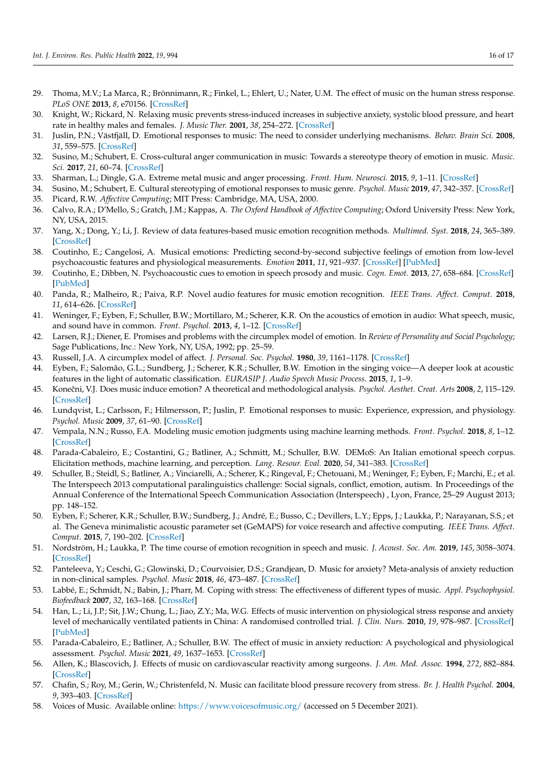- <span id="page-15-0"></span>29. Thoma, M.V.; La Marca, R.; Brönnimann, R.; Finkel, L.; Ehlert, U.; Nater, U.M. The effect of music on the human stress response. *PLoS ONE* **2013**, *8*, e70156. [\[CrossRef\]](http://dx.doi.org/10.1371/journal.pone.0070156)
- <span id="page-15-1"></span>30. Knight, W.; Rickard, N. Relaxing music prevents stress-induced increases in subjective anxiety, systolic blood pressure, and heart rate in healthy males and females. *J. Music Ther.* **2001**, *38*, 254–272. [\[CrossRef\]](http://dx.doi.org/10.1093/jmt/38.4.254)
- <span id="page-15-2"></span>31. Juslin, P.N.; Västfjäll, D. Emotional responses to music: The need to consider underlying mechanisms. *Behav. Brain Sci.* **2008**, *31*, 559–575. [\[CrossRef\]](http://dx.doi.org/10.1017/S0140525X08005293)
- <span id="page-15-3"></span>32. Susino, M.; Schubert, E. Cross-cultural anger communication in music: Towards a stereotype theory of emotion in music. *Music. Sci.* **2017**, *21*, 60–74. [\[CrossRef\]](http://dx.doi.org/10.1177/1029864916637641)
- <span id="page-15-4"></span>33. Sharman, L.; Dingle, G.A. Extreme metal music and anger processing. *Front. Hum. Neurosci.* **2015**, *9*, 1–11. [\[CrossRef\]](http://dx.doi.org/10.3389/fnhum.2015.00272)
- <span id="page-15-6"></span><span id="page-15-5"></span>34. Susino, M.; Schubert, E. Cultural stereotyping of emotional responses to music genre. *Psychol. Music* **2019**, *47*, 342–357. [\[CrossRef\]](http://dx.doi.org/10.1177/0305735618755886) 35. Picard, R.W. *Affective Computing*; MIT Press: Cambridge, MA, USA, 2000.
- <span id="page-15-7"></span>36. Calvo, R.A.; D'Mello, S.; Gratch, J.M.; Kappas, A. *The Oxford Handbook of Affective Computing*; Oxford University Press: New York, NY, USA, 2015.
- <span id="page-15-8"></span>37. Yang, X.; Dong, Y.; Li, J. Review of data features-based music emotion recognition methods. *Multimed. Syst.* **2018**, *24*, 365–389. [\[CrossRef\]](http://dx.doi.org/10.1007/s00530-017-0559-4)
- <span id="page-15-9"></span>38. Coutinho, E.; Cangelosi, A. Musical emotions: Predicting second-by-second subjective feelings of emotion from low-level psychoacoustic features and physiological measurements. *Emotion* **2011**, *11*, 921–937. [\[CrossRef\]](http://dx.doi.org/10.1037/a0024700) [\[PubMed\]](http://www.ncbi.nlm.nih.gov/pubmed/21859207)
- <span id="page-15-14"></span>39. Coutinho, E.; Dibben, N. Psychoacoustic cues to emotion in speech prosody and music. *Cogn. Emot.* **2013**, *27*, 658–684. [\[CrossRef\]](http://dx.doi.org/10.1080/02699931.2012.732559) [\[PubMed\]](http://www.ncbi.nlm.nih.gov/pubmed/23057507)
- 40. Panda, R.; Malheiro, R.; Paiva, R.P. Novel audio features for music emotion recognition. *IEEE Trans. Affect. Comput.* **2018**, *11*, 614–626. [\[CrossRef\]](http://dx.doi.org/10.1109/TAFFC.2018.2820691)
- <span id="page-15-10"></span>41. Weninger, F.; Eyben, F.; Schuller, B.W.; Mortillaro, M.; Scherer, K.R. On the acoustics of emotion in audio: What speech, music, and sound have in common. *Front. Psychol.* **2013**, *4*, 1–12. [\[CrossRef\]](http://dx.doi.org/10.3389/fpsyg.2013.00292)
- <span id="page-15-11"></span>42. Larsen, R.J.; Diener, E. Promises and problems with the circumplex model of emotion. In *Review of Personality and Social Psychology*; Sage Publications, Inc.: New York, NY, USA, 1992; pp. 25–59.
- <span id="page-15-12"></span>43. Russell, J.A. A circumplex model of affect. *J. Personal. Soc. Psychol.* **1980**, *39*, 1161–1178. [\[CrossRef\]](http://dx.doi.org/10.1037/h0077714)
- <span id="page-15-13"></span>44. Eyben, F.; Salomão, G.L.; Sundberg, J.; Scherer, K.R.; Schuller, B.W. Emotion in the singing voice—A deeper look at acoustic features in the light of automatic classification. *EURASIP J. Audio Speech Music Process.* **2015**, *1*, 1–9.
- <span id="page-15-15"></span>45. Koneˇcni, V.J. Does music induce emotion? A theoretical and methodological analysis. *Psychol. Aesthet. Creat. Arts* **2008**, *2*, 115–129. [\[CrossRef\]](http://dx.doi.org/10.1037/1931-3896.2.2.115)
- <span id="page-15-16"></span>46. Lundqvist, L.; Carlsson, F.; Hilmersson, P.; Juslin, P. Emotional responses to music: Experience, expression, and physiology. *Psychol. Music* **2009**, *37*, 61–90. [\[CrossRef\]](http://dx.doi.org/10.1177/0305735607086048)
- <span id="page-15-17"></span>47. Vempala, N.N.; Russo, F.A. Modeling music emotion judgments using machine learning methods. *Front. Psychol.* **2018**, *8*, 1–12. [\[CrossRef\]](http://dx.doi.org/10.3389/fpsyg.2017.02239)
- <span id="page-15-18"></span>48. Parada-Cabaleiro, E.; Costantini, G.; Batliner, A.; Schmitt, M.; Schuller, B.W. DEMoS: An Italian emotional speech corpus. Elicitation methods, machine learning, and perception. *Lang. Resour. Eval.* **2020**, *54*, 341–383. [\[CrossRef\]](http://dx.doi.org/10.1007/s10579-019-09450-y)
- <span id="page-15-19"></span>49. Schuller, B.; Steidl, S.; Batliner, A.; Vinciarelli, A.; Scherer, K.; Ringeval, F.; Chetouani, M.; Weninger, F.; Eyben, F.; Marchi, E.; et al. The Interspeech 2013 computational paralinguistics challenge: Social signals, conflict, emotion, autism. In Proceedings of the Annual Conference of the International Speech Communication Association (Interspeech) , Lyon, France, 25–29 August 2013; pp. 148–152.
- <span id="page-15-20"></span>50. Eyben, F.; Scherer, K.R.; Schuller, B.W.; Sundberg, J.; André, E.; Busso, C.; Devillers, L.Y.; Epps, J.; Laukka, P.; Narayanan, S.S.; et al. The Geneva minimalistic acoustic parameter set (GeMAPS) for voice research and affective computing. *IEEE Trans. Affect. Comput.* **2015**, *7*, 190–202. [\[CrossRef\]](http://dx.doi.org/10.1109/TAFFC.2015.2457417)
- <span id="page-15-21"></span>51. Nordström, H.; Laukka, P. The time course of emotion recognition in speech and music. *J. Acoust. Soc. Am.* **2019**, *145*, 3058–3074. [\[CrossRef\]](http://dx.doi.org/10.1121/1.5108601)
- <span id="page-15-22"></span>52. Panteleeva, Y.; Ceschi, G.; Glowinski, D.; Courvoisier, D.S.; Grandjean, D. Music for anxiety? Meta-analysis of anxiety reduction in non-clinical samples. *Psychol. Music* **2018**, *46*, 473–487. [\[CrossRef\]](http://dx.doi.org/10.1177/0305735617712424)
- <span id="page-15-23"></span>53. Labbé, E.; Schmidt, N.; Babin, J.; Pharr, M. Coping with stress: The effectiveness of different types of music. *Appl. Psychophysiol. Biofeedback* **2007**, *32*, 163–168. [\[CrossRef\]](http://dx.doi.org/10.1007/s10484-007-9043-9)
- <span id="page-15-24"></span>54. Han, L.; Li, J.P.; Sit, J.W.; Chung, L.; Jiao, Z.Y.; Ma, W.G. Effects of music intervention on physiological stress response and anxiety level of mechanically ventilated patients in China: A randomised controlled trial. *J. Clin. Nurs.* **2010**, *19*, 978–987. [\[CrossRef\]](http://dx.doi.org/10.1111/j.1365-2702.2009.02845.x) [\[PubMed\]](http://www.ncbi.nlm.nih.gov/pubmed/20492042)
- <span id="page-15-25"></span>55. Parada-Cabaleiro, E.; Batliner, A.; Schuller, B.W. The effect of music in anxiety reduction: A psychological and physiological assessment. *Psychol. Music* **2021**, *49*, 1637–1653. [\[CrossRef\]](http://dx.doi.org/10.1177/0305735620968902)
- 56. Allen, K.; Blascovich, J. Effects of music on cardiovascular reactivity among surgeons. *J. Am. Med. Assoc.* **1994**, *272*, 882–884. [\[CrossRef\]](http://dx.doi.org/10.1001/jama.1994.03520110062030)
- <span id="page-15-26"></span>57. Chafin, S.; Roy, M.; Gerin, W.; Christenfeld, N. Music can facilitate blood pressure recovery from stress. *Br. J. Health Psychol.* **2004**, *9*, 393–403. [\[CrossRef\]](http://dx.doi.org/10.1348/1359107041557020)
- <span id="page-15-27"></span>58. Voices of Music. Available online: <https://www.voicesofmusic.org/> (accessed on 5 December 2021).